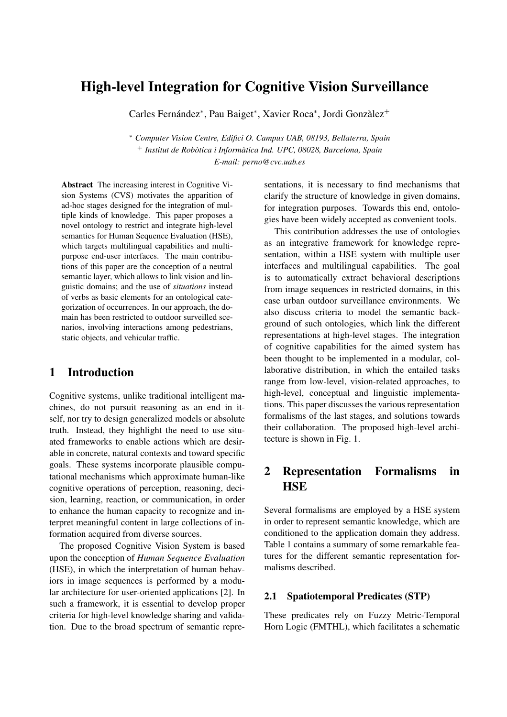# High-level Integration for Cognitive Vision Surveillance

Carles Fernández\*, Pau Baiget\*, Xavier Roca\*, Jordi Gonzàlez<sup>+</sup>

<sup>∗</sup> *Computer Vision Centre, Edifici O. Campus UAB, 08193, Bellaterra, Spain* <sup>+</sup> *Institut de Robòtica i Informàtica Ind. UPC, 08028, Barcelona, Spain E-mail: perno@cvc.uab.es*

Abstract The increasing interest in Cognitive Vision Systems (CVS) motivates the apparition of ad-hoc stages designed for the integration of multiple kinds of knowledge. This paper proposes a novel ontology to restrict and integrate high-level semantics for Human Sequence Evaluation (HSE), which targets multilingual capabilities and multipurpose end-user interfaces. The main contributions of this paper are the conception of a neutral semantic layer, which allows to link vision and linguistic domains; and the use of *situations* instead of verbs as basic elements for an ontological categorization of occurrences. In our approach, the domain has been restricted to outdoor surveilled scenarios, involving interactions among pedestrians, static objects, and vehicular traffic.

### 1 Introduction

Cognitive systems, unlike traditional intelligent machines, do not pursuit reasoning as an end in itself, nor try to design generalized models or absolute truth. Instead, they highlight the need to use situated frameworks to enable actions which are desirable in concrete, natural contexts and toward specific goals. These systems incorporate plausible computational mechanisms which approximate human-like cognitive operations of perception, reasoning, decision, learning, reaction, or communication, in order to enhance the human capacity to recognize and interpret meaningful content in large collections of information acquired from diverse sources.

The proposed Cognitive Vision System is based upon the conception of *Human Sequence Evaluation* (HSE), in which the interpretation of human behaviors in image sequences is performed by a modular architecture for user-oriented applications [2]. In such a framework, it is essential to develop proper criteria for high-level knowledge sharing and validation. Due to the broad spectrum of semantic representations, it is necessary to find mechanisms that clarify the structure of knowledge in given domains, for integration purposes. Towards this end, ontologies have been widely accepted as convenient tools.

This contribution addresses the use of ontologies as an integrative framework for knowledge representation, within a HSE system with multiple user interfaces and multilingual capabilities. The goal is to automatically extract behavioral descriptions from image sequences in restricted domains, in this case urban outdoor surveillance environments. We also discuss criteria to model the semantic background of such ontologies, which link the different representations at high-level stages. The integration of cognitive capabilities for the aimed system has been thought to be implemented in a modular, collaborative distribution, in which the entailed tasks range from low-level, vision-related approaches, to high-level, conceptual and linguistic implementations. This paper discusses the various representation formalisms of the last stages, and solutions towards their collaboration. The proposed high-level architecture is shown in Fig. 1.

# 2 Representation Formalisms in HSE

Several formalisms are employed by a HSE system in order to represent semantic knowledge, which are conditioned to the application domain they address. Table 1 contains a summary of some remarkable features for the different semantic representation formalisms described.

#### 2.1 Spatiotemporal Predicates (STP)

These predicates rely on Fuzzy Metric-Temporal Horn Logic (FMTHL), which facilitates a schematic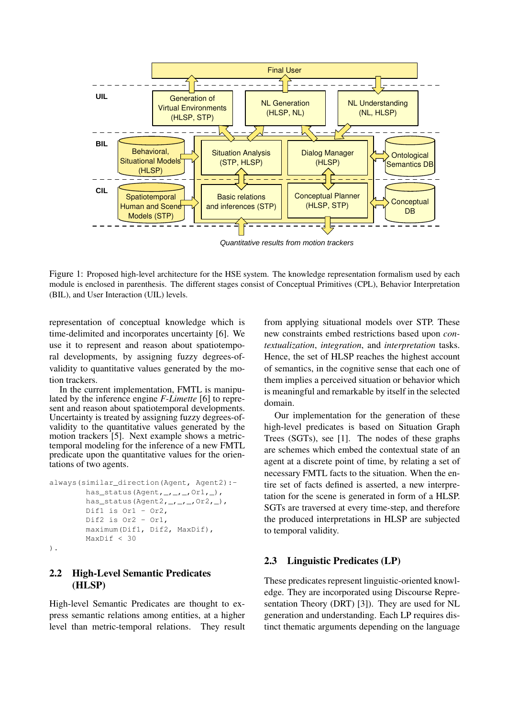

Quantitative results from motion trackers

Figure 1: Proposed high-level architecture for the HSE system. The knowledge representation formalism used by each module is enclosed in parenthesis. The different stages consist of Conceptual Primitives (CPL), Behavior Interpretation (BIL), and User Interaction (UIL) levels.

representation of conceptual knowledge which is time-delimited and incorporates uncertainty [6]. We use it to represent and reason about spatiotemporal developments, by assigning fuzzy degrees-ofvalidity to quantitative values generated by the motion trackers.

In the current implementation, FMTL is manipulated by the inference engine *F-Limette* [6] to represent and reason about spatiotemporal developments. Uncertainty is treated by assigning fuzzy degrees-ofvalidity to the quantitative values generated by the motion trackers [5]. Next example shows a metrictemporal modeling for the inference of a new FMTL predicate upon the quantitative values for the orientations of two agents.

```
always(similar_direction(Agent, Agent2):-
has_status(Agent,_,_,_,Or1,_),
has_status(Agent2, _, _, _, Or2, _),
Dif1 is Or1 - Or2,
Dif2 is Or2 - Or1,
maximum(Dif1, Dif2, MaxDif),
MaxDif < 30
```

```
).
```
### 2.2 High-Level Semantic Predicates (HLSP)

High-level Semantic Predicates are thought to express semantic relations among entities, at a higher level than metric-temporal relations. They result

from applying situational models over STP. These new constraints embed restrictions based upon *contextualization*, *integration*, and *interpretation* tasks. Hence, the set of HLSP reaches the highest account of semantics, in the cognitive sense that each one of them implies a perceived situation or behavior which is meaningful and remarkable by itself in the selected domain.

Our implementation for the generation of these high-level predicates is based on Situation Graph Trees (SGTs), see [1]. The nodes of these graphs are schemes which embed the contextual state of an agent at a discrete point of time, by relating a set of necessary FMTL facts to the situation. When the entire set of facts defined is asserted, a new interpretation for the scene is generated in form of a HLSP. SGTs are traversed at every time-step, and therefore the produced interpretations in HLSP are subjected to temporal validity.

### 2.3 Linguistic Predicates (LP)

These predicates represent linguistic-oriented knowledge. They are incorporated using Discourse Representation Theory (DRT) [3]). They are used for NL generation and understanding. Each LP requires distinct thematic arguments depending on the language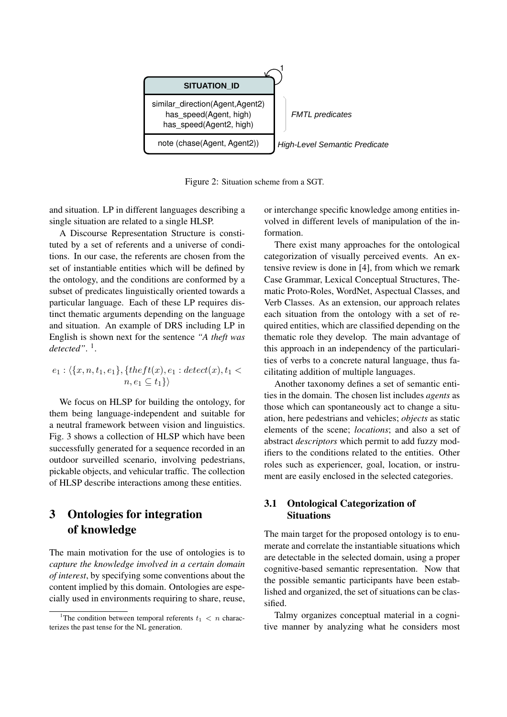

Figure 2: Situation scheme from a SGT.

and situation. LP in different languages describing a single situation are related to a single HLSP.

A Discourse Representation Structure is constituted by a set of referents and a universe of conditions. In our case, the referents are chosen from the set of instantiable entities which will be defined by the ontology, and the conditions are conformed by a subset of predicates linguistically oriented towards a particular language. Each of these LP requires distinct thematic arguments depending on the language and situation. An example of DRS including LP in English is shown next for the sentence *"A theft was detected"*. 1 .

$$
e_1: \langle \{x, n, t_1, e_1\}, \{thert(x), e_1: detect(x), t_1 < n, e_1 \subseteq t_1\} \rangle
$$

We focus on HLSP for building the ontology, for them being language-independent and suitable for a neutral framework between vision and linguistics. Fig. 3 shows a collection of HLSP which have been successfully generated for a sequence recorded in an outdoor surveilled scenario, involving pedestrians, pickable objects, and vehicular traffic. The collection of HLSP describe interactions among these entities.

# 3 Ontologies for integration of knowledge

The main motivation for the use of ontologies is to *capture the knowledge involved in a certain domain of interest*, by specifying some conventions about the content implied by this domain. Ontologies are especially used in environments requiring to share, reuse, or interchange specific knowledge among entities involved in different levels of manipulation of the information.

There exist many approaches for the ontological categorization of visually perceived events. An extensive review is done in [4], from which we remark Case Grammar, Lexical Conceptual Structures, Thematic Proto-Roles, WordNet, Aspectual Classes, and Verb Classes. As an extension, our approach relates each situation from the ontology with a set of required entities, which are classified depending on the thematic role they develop. The main advantage of this approach in an independency of the particularities of verbs to a concrete natural language, thus facilitating addition of multiple languages.

Another taxonomy defines a set of semantic entities in the domain. The chosen list includes *agents* as those which can spontaneously act to change a situation, here pedestrians and vehicles; *objects* as static elements of the scene; *locations*; and also a set of abstract *descriptors* which permit to add fuzzy modifiers to the conditions related to the entities. Other roles such as experiencer, goal, location, or instrument are easily enclosed in the selected categories.

#### 3.1 Ontological Categorization of **Situations**

The main target for the proposed ontology is to enumerate and correlate the instantiable situations which are detectable in the selected domain, using a proper cognitive-based semantic representation. Now that the possible semantic participants have been established and organized, the set of situations can be classified.

Talmy organizes conceptual material in a cognitive manner by analyzing what he considers most

<sup>&</sup>lt;sup>1</sup>The condition between temporal referents  $t_1 < n$  characterizes the past tense for the NL generation.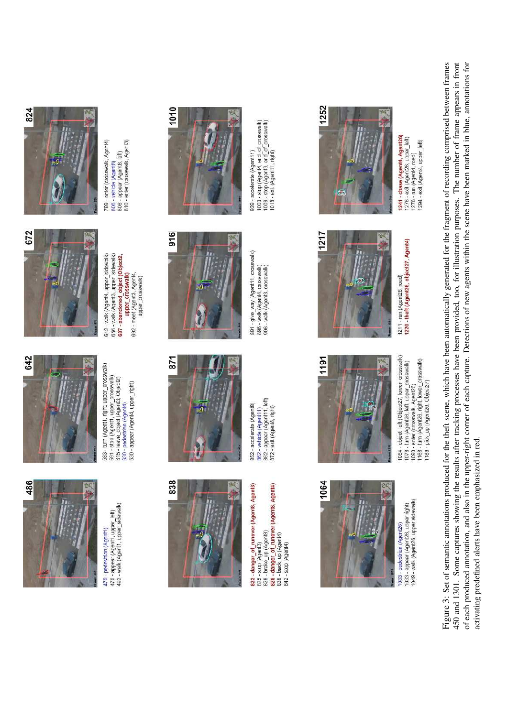

470 - appear (Agent1, upper\_left)<br>492 - walk (Agent1, upper\_sidewalk) 470 - pedestrian (Agent1)



583 - turn (Agent1, right, upper\_crosswalk) 591 - stop (Ağent1, üpper\_crosswalk)<br>615 - Ieave\_object (Agent5, Object2)<br>630 - pedestrian (Agent4)<br>630 - appear (Agent4, upper\_right)



642 - walk (Agent4, upper sidewalk) 656 - walk (Agent3, upper\_sidewalk) 687 - abandoned object (Object2, upper crosswalk) 692 - meet (Agent3, Agent4, upper crosswalk)



806 - vehicle (Agent8)<br>806 - appear (Agent8, left)<br>810 - enter (crosswalk, Agent3) 799 - enter (crosswalk, Agent4)



822 - danger\_of\_runover (Agent8, Agent3)<br>825 - brake\_up (Agent5)<br>828 - brake\_up (Agent8)<br>838 - back\_up (Agent4)<br>838 - stop (Agent4)



852 - accelerate (Agent8)<br>862 - vehicle (Agent11)<br>862 - appear (Agent11, left)<br>872 - exit (Agent8, right)



916

891 - give\_way (Agent11, crosswalk) 896 - walk (Agent4, crosswalk)<br>906 - walk (Agent3, crosswalk)



1000 - stop (Agent4, end\_of\_crosswalk)<br>1006 - stop (Agent3, end\_of\_crosswalk)<br>1018 - exit (Agent11, right) 939 - accelerate (Agent11)



1033 - appear (Agent26, upper right)<br>1049 - walk (Agent26, upper sidewalk) 033 - pedestrian (Agent26)



1054 - object\_left (Object27, lower\_crosswalk) 1078 - turn (Agent26, left, upper\_crosswalk)<br>1083 - enter (crosswalk, Agent26)<br>1168 - turn (Agent26, right, lower\_crosswalk)<br>1186 - pick\_up (Agent26, Object27)



1252

1211 - run (Agent26, road)<br>1220 - theft (Agent26, object27, Agent4)

1241 - chase (Agent4, Agent26) 1276 - exit (Agenž8, uppēr\_left)<br>1278 - run (Agent4, road)<br>1294 - exit (Agent4, upper\_left)

Figure 3: Set of semantic annotations produced for the theft scene, which have been automatically generated for the fragment of recording comprised between frames 450 and 1301. Some captures showing the results after tracking processes have been provided, too, for illustration purposes. The number of frame appears in front of each produced annotation, and also in the upper-right corner of each capture. Detections of new agents within the scene have been marked in blue, annotations for activating predefined alerts have been emphasized in red.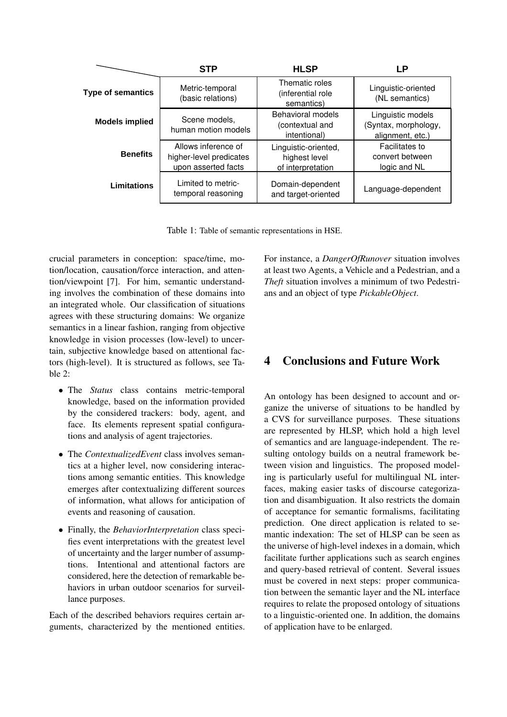|                          | <b>STP</b>                                                            | <b>HLSP</b>                                                 | LP                                                            |
|--------------------------|-----------------------------------------------------------------------|-------------------------------------------------------------|---------------------------------------------------------------|
| <b>Type of semantics</b> | Metric-temporal<br>(basic relations)                                  | Thematic roles<br>(inferential role)<br>semantics)          | Linguistic-oriented<br>(NL semantics)                         |
| <b>Models implied</b>    | Scene models,<br>human motion models                                  | <b>Behavioral models</b><br>(contextual and<br>intentional) | Linguistic models<br>(Syntax, morphology,<br>alignment, etc.) |
| <b>Benefits</b>          | Allows inference of<br>higher-level predicates<br>upon asserted facts | Linguistic-oriented,<br>highest level<br>of interpretation  | Facilitates to<br>convert between<br>logic and NL             |
| Limitations              | Limited to metric-<br>temporal reasoning                              | Domain-dependent<br>and target-oriented                     | Language-dependent                                            |

Table 1: Table of semantic representations in HSE.

crucial parameters in conception: space/time, motion/location, causation/force interaction, and attention/viewpoint [7]. For him, semantic understanding involves the combination of these domains into an integrated whole. Our classification of situations agrees with these structuring domains: We organize semantics in a linear fashion, ranging from objective knowledge in vision processes (low-level) to uncertain, subjective knowledge based on attentional factors (high-level). It is structured as follows, see Ta $h$ le  $2$ ·

- The *Status* class contains metric-temporal knowledge, based on the information provided by the considered trackers: body, agent, and face. Its elements represent spatial configurations and analysis of agent trajectories.
- The *ContextualizedEvent* class involves semantics at a higher level, now considering interactions among semantic entities. This knowledge emerges after contextualizing different sources of information, what allows for anticipation of events and reasoning of causation.
- Finally, the *BehaviorInterpretation* class specifies event interpretations with the greatest level of uncertainty and the larger number of assumptions. Intentional and attentional factors are considered, here the detection of remarkable behaviors in urban outdoor scenarios for surveillance purposes.

Each of the described behaviors requires certain arguments, characterized by the mentioned entities. For instance, a *DangerOfRunover* situation involves at least two Agents, a Vehicle and a Pedestrian, and a *Theft* situation involves a minimum of two Pedestrians and an object of type *PickableObject*.

## 4 Conclusions and Future Work

An ontology has been designed to account and organize the universe of situations to be handled by a CVS for surveillance purposes. These situations are represented by HLSP, which hold a high level of semantics and are language-independent. The resulting ontology builds on a neutral framework between vision and linguistics. The proposed modeling is particularly useful for multilingual NL interfaces, making easier tasks of discourse categorization and disambiguation. It also restricts the domain of acceptance for semantic formalisms, facilitating prediction. One direct application is related to semantic indexation: The set of HLSP can be seen as the universe of high-level indexes in a domain, which facilitate further applications such as search engines and query-based retrieval of content. Several issues must be covered in next steps: proper communication between the semantic layer and the NL interface requires to relate the proposed ontology of situations to a linguistic-oriented one. In addition, the domains of application have to be enlarged.